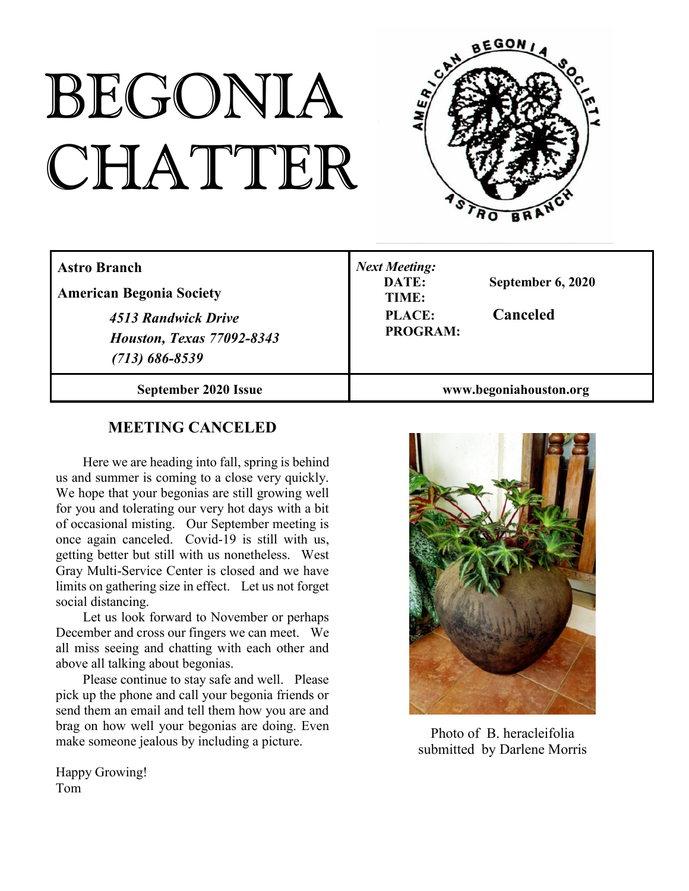# BEGONIA CHATTER



| <b>Astro Branch</b><br><b>American Begonia Society</b><br>4513 Randwick Drive<br><b>Houston, Texas 77092-8343</b><br>$(713) 686 - 8539$ | <b>Next Meeting:</b><br>DATE:<br>September 6, 2020<br>TIME:<br>Canceled<br><b>PLACE:</b><br><b>PROGRAM:</b> |
|-----------------------------------------------------------------------------------------------------------------------------------------|-------------------------------------------------------------------------------------------------------------|
| September 2020 Issue                                                                                                                    | www.begoniahouston.org                                                                                      |

# **MEETING CANCELED**

Here we are heading into fall, spring is behind us and summer is coming to a close very quickly. We hope that your begonias are still growing well for you and tolerating our very hot days with a bit of occasional misting. Our September meeting is once again canceled. Covid-19 is still with us, getting better but still with us nonetheless. West Gray Multi-Service Center is closed and we have limits on gathering size in effect. Let us not forget social distancing.

Let us look forward to November or perhaps December and cross our fingers we can meet. We all miss seeing and chatting with each other and above all talking about begonias.

Please continue to stay safe and well. Please pick up the phone and call your begonia friends or send them an email and tell them how you are and brag on how well your begonias are doing. Even make someone jealous by including a picture.

Happy Growing! Tom



Photo of B. heracleifolia submitted by Darlene Morris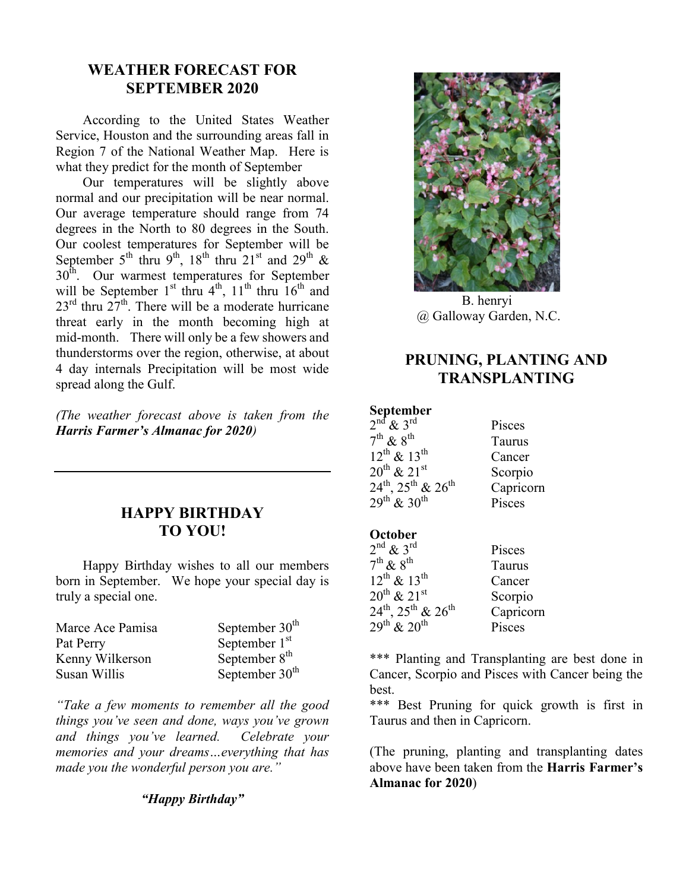# **WEATHER FORECAST FOR SEPTEMBER 2020**

According to the United States Weather Service, Houston and the surrounding areas fall in Region 7 of the National Weather Map. Here is what they predict for the month of September

Our temperatures will be slightly above normal and our precipitation will be near normal. Our average temperature should range from 74 degrees in the North to 80 degrees in the South. Our coolest temperatures for September will be September 5<sup>th</sup> thru 9<sup>th</sup>, 18<sup>th</sup> thru 21<sup>st</sup> and 29<sup>th</sup> &  $30<sup>th</sup>$ . Our warmest temperatures for September will be September 1<sup>st</sup> thru  $4<sup>th</sup>$ , 11<sup>th</sup> thru  $16<sup>th</sup>$  and  $23^{\text{rd}}$  thru  $27^{\text{th}}$ . There will be a moderate hurricane threat early in the month becoming high at mid-month. There will only be a few showers and thunderstorms over the region, otherwise, at about 4 day internals Precipitation will be most wide spread along the Gulf.

*(The weather forecast above is taken from the Harris Farmer's Almanac for 2020)*

### **HAPPY BIRTHDAY TO YOU!**

Happy Birthday wishes to all our members born in September. We hope your special day is truly a special one.

| Marce Ace Pamisa | September $30th$ |
|------------------|------------------|
| Pat Perry        | September $1st$  |
| Kenny Wilkerson  | September $8th$  |
| Susan Willis     | September $30th$ |

*"Take a few moments to remember all the good things you've seen and done, ways you've grown and things you've learned. Celebrate your memories and your dreams…everything that has made you the wonderful person you are."*

#### *"Happy Birthday"*



B. henryi @ Galloway Garden, N.C.

## **PRUNING, PLANTING AND TRANSPLANTING**

#### **September**

| $2nd$ & $3rd$                                 | Pisces    |
|-----------------------------------------------|-----------|
| $7^{\text{th}}$ & $8^{\text{th}}$             | Taurus    |
| $12^{th}$ & $13^{th}$                         | Cancer    |
| $20^{th}$ & $21^{st}$                         | Scorpio   |
| $24^{\rm th}$ , $25^{\rm th}$ & $26^{\rm th}$ | Capricorn |
| $29^{th}$ & $30^{th}$                         | Pisces    |

#### **October**

| $2^{\text{nd}}$ & $3^{\text{rd}}$                      | Pisces    |
|--------------------------------------------------------|-----------|
| $7^{\text{th}}$ & $8^{\text{th}}$                      | Taurus    |
| $12^{th}$ & $13^{th}$                                  | Cancer    |
| $20^{th}$ & $21^{st}$                                  | Scorpio   |
| $24^{\text{th}}$ , $25^{\text{th}}$ & $26^{\text{th}}$ | Capricorn |
| $29^{th}$ & $20^{th}$                                  | Pisces    |

\*\*\* Planting and Transplanting are best done in Cancer, Scorpio and Pisces with Cancer being the best.

\*\*\* Best Pruning for quick growth is first in Taurus and then in Capricorn.

(The pruning, planting and transplanting dates above have been taken from the **Harris Farmer's Almanac for 2020**)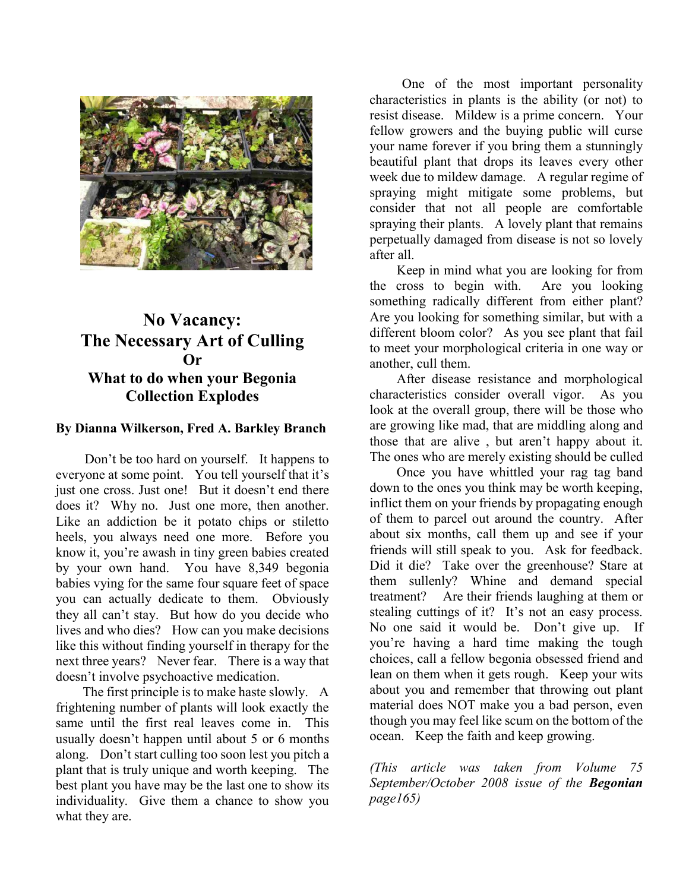

# **No Vacancy: The Necessary Art of Culling Or What to do when your Begonia Collection Explodes**

#### **By Dianna Wilkerson, Fred A. Barkley Branch**

Don't be too hard on yourself. It happens to everyone at some point. You tell yourself that it's just one cross. Just one! But it doesn't end there does it? Why no. Just one more, then another. Like an addiction be it potato chips or stiletto heels, you always need one more. Before you know it, you're awash in tiny green babies created by your own hand. You have 8,349 begonia babies vying for the same four square feet of space you can actually dedicate to them. Obviously they all can't stay. But how do you decide who lives and who dies? How can you make decisions like this without finding yourself in therapy for the next three years? Never fear. There is a way that doesn't involve psychoactive medication.

The first principle is to make haste slowly. A frightening number of plants will look exactly the same until the first real leaves come in. This usually doesn't happen until about 5 or 6 months along. Don't start culling too soon lest you pitch a plant that is truly unique and worth keeping. The best plant you have may be the last one to show its individuality. Give them a chance to show you what they are.

One of the most important personality characteristics in plants is the ability (or not) to resist disease. Mildew is a prime concern. Your fellow growers and the buying public will curse your name forever if you bring them a stunningly beautiful plant that drops its leaves every other week due to mildew damage. A regular regime of spraying might mitigate some problems, but consider that not all people are comfortable spraying their plants. A lovely plant that remains perpetually damaged from disease is not so lovely after all.

Keep in mind what you are looking for from the cross to begin with. Are you looking something radically different from either plant? Are you looking for something similar, but with a different bloom color? As you see plant that fail to meet your morphological criteria in one way or another, cull them.

After disease resistance and morphological characteristics consider overall vigor. As you look at the overall group, there will be those who are growing like mad, that are middling along and those that are alive , but aren't happy about it. The ones who are merely existing should be culled

Once you have whittled your rag tag band down to the ones you think may be worth keeping, inflict them on your friends by propagating enough of them to parcel out around the country. After about six months, call them up and see if your friends will still speak to you. Ask for feedback. Did it die? Take over the greenhouse? Stare at them sullenly? Whine and demand special treatment? Are their friends laughing at them or stealing cuttings of it? It's not an easy process. No one said it would be. Don't give up. If you're having a hard time making the tough choices, call a fellow begonia obsessed friend and lean on them when it gets rough. Keep your wits about you and remember that throwing out plant material does NOT make you a bad person, even though you may feel like scum on the bottom of the ocean. Keep the faith and keep growing.

*(This article was taken from Volume 75 September/October 2008 issue of the Begonian page165)*